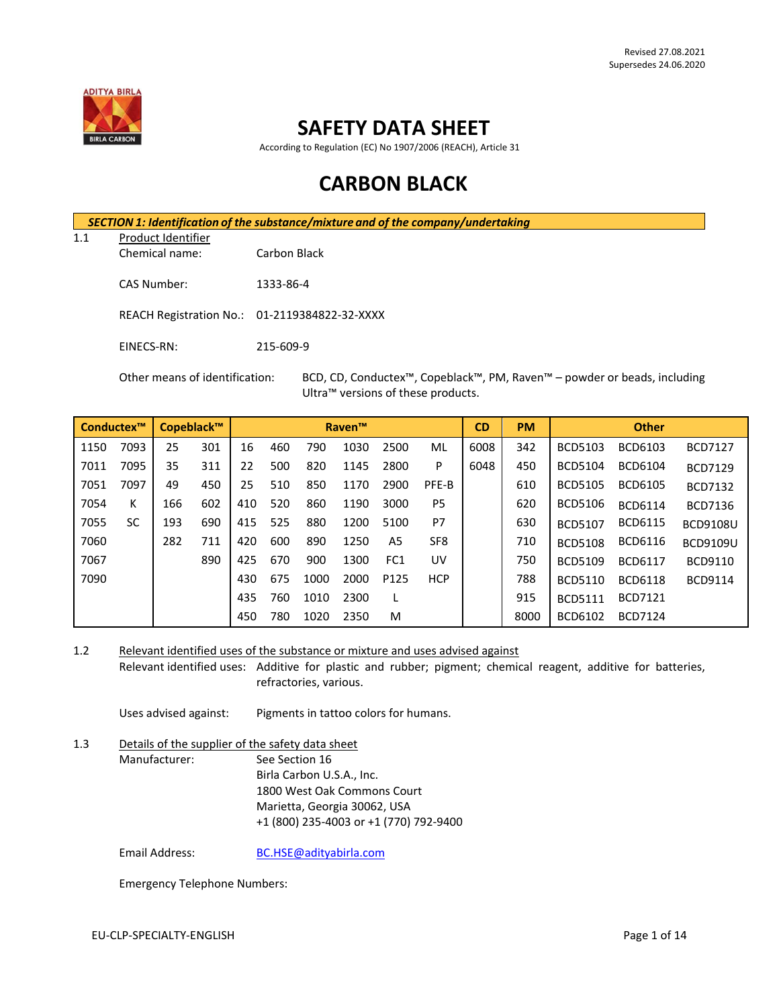

# **SAFETY DATA SHEET**

According to Regulation (EC) No 1907/2006 (REACH), Article 31

# **CARBON BLACK**

*SECTION 1: Identification of the substance/mixture and of the company/undertaking*

1.1 Product Identifier

Chemical name: Carbon Black

CAS Number: 1333-86-4

- REACH Registration No.: 01-2119384822-32-XXXX
- EINECS-RN: 215-609-9

Other means of identification: BCD, CD, Conductex™, Copeblack™, PM, Raven™ – powder or beads, including Ultra™ versions of these products.

| Conductex™ |           | Copeblack™ |     |     |     |      | <b>Raven™</b> |                 |                 | <b>CD</b> | <b>PM</b> | <b>Other</b>   |                |                 |
|------------|-----------|------------|-----|-----|-----|------|---------------|-----------------|-----------------|-----------|-----------|----------------|----------------|-----------------|
| 1150       | 7093      | 25         | 301 | 16  | 460 | 790  | 1030          | 2500            | ML              | 6008      | 342       | <b>BCD5103</b> | BCD6103        | <b>BCD7127</b>  |
| 7011       | 7095      | 35         | 311 | 22  | 500 | 820  | 1145          | 2800            | P               | 6048      | 450       | <b>BCD5104</b> | BCD6104        | <b>BCD7129</b>  |
| 7051       | 7097      | 49         | 450 | 25  | 510 | 850  | 1170          | 2900            | PFE-B           |           | 610       | <b>BCD5105</b> | <b>BCD6105</b> | <b>BCD7132</b>  |
| 7054       | ĸ         | 166        | 602 | 410 | 520 | 860  | 1190          | 3000            | P <sub>5</sub>  |           | 620       | <b>BCD5106</b> | <b>BCD6114</b> | <b>BCD7136</b>  |
| 7055       | <b>SC</b> | 193        | 690 | 415 | 525 | 880  | 1200          | 5100            | P7              |           | 630       | <b>BCD5107</b> | <b>BCD6115</b> | <b>BCD9108U</b> |
| 7060       |           | 282        | 711 | 420 | 600 | 890  | 1250          | A5              | SF <sub>8</sub> |           | 710       | <b>BCD5108</b> | <b>BCD6116</b> | <b>BCD9109U</b> |
| 7067       |           |            | 890 | 425 | 670 | 900  | 1300          | FC <sub>1</sub> | UV              |           | 750       | <b>BCD5109</b> | <b>BCD6117</b> | BCD9110         |
| 7090       |           |            |     | 430 | 675 | 1000 | 2000          | P125            | <b>HCP</b>      |           | 788       | <b>BCD5110</b> | <b>BCD6118</b> | <b>BCD9114</b>  |
|            |           |            |     | 435 | 760 | 1010 | 2300          |                 |                 |           | 915       | <b>BCD5111</b> | <b>BCD7121</b> |                 |
|            |           |            |     | 450 | 780 | 1020 | 2350          | M               |                 |           | 8000      | <b>BCD6102</b> | <b>BCD7124</b> |                 |

1.2 Relevant identified uses of the substance or mixture and uses advised against

Relevant identified uses: Additive for plastic and rubber; pigment; chemical reagent, additive for batteries, refractories, various.

Uses advised against: Pigments in tattoo colors for humans.

1.3 Details of the supplier of the safety data sheet Manufacturer: See Section 16 Birla Carbon U.S.A., Inc. 1800 West Oak Commons Court Marietta, Georgia 30062, USA +1 (800) 235-4003 or +1 (770) 792-9400

Email Address: [BC.HSE@adityabirla.com](mailto:BC.HSE@adityabirla.com)

Emergency Telephone Numbers: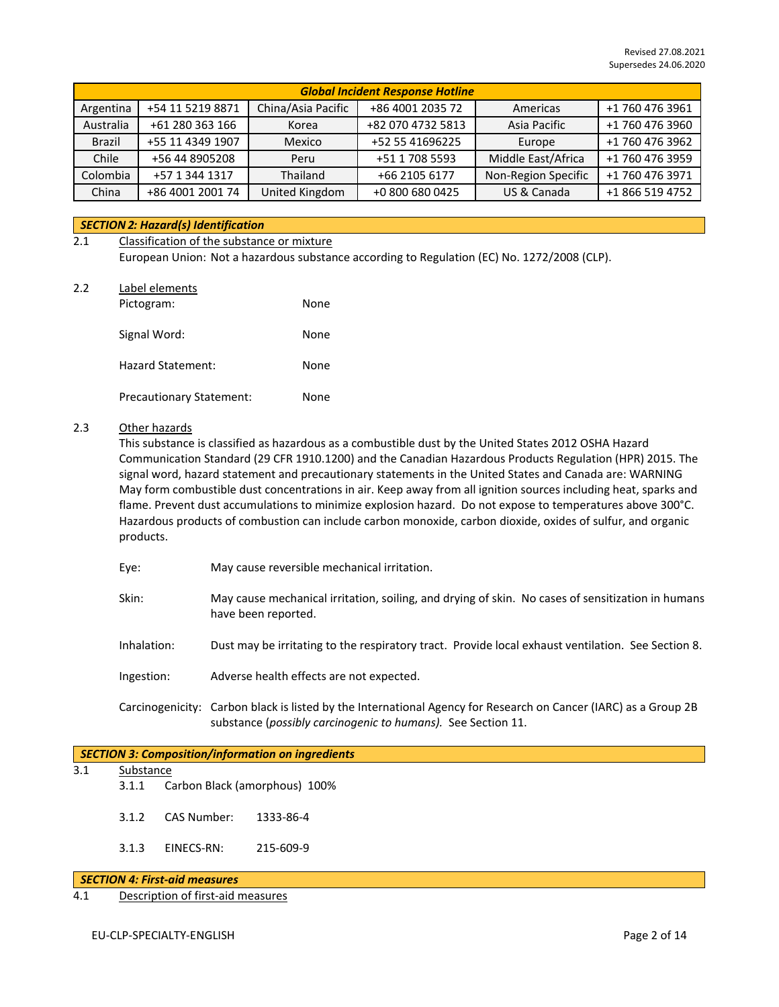| <b>Global Incident Response Hotline</b> |                  |                    |                   |                     |                 |  |
|-----------------------------------------|------------------|--------------------|-------------------|---------------------|-----------------|--|
| Argentina                               | +54 11 5219 8871 | China/Asia Pacific | +86 4001 2035 72  | Americas            | +1 760 476 3961 |  |
| Australia                               | +61 280 363 166  | Korea              | +82 070 4732 5813 | Asia Pacific        | +1 760 476 3960 |  |
| <b>Brazil</b>                           | +55 11 4349 1907 | Mexico             | +52 55 41696225   | Europe              | +1 760 476 3962 |  |
| Chile                                   | +56 44 8905208   | Peru               | +51 1 708 5593    | Middle East/Africa  | +1 760 476 3959 |  |
| Colombia                                | +57 1 344 1317   | Thailand           | +66 2105 6177     | Non-Region Specific | +1 760 476 3971 |  |
| China                                   | +86 4001 2001 74 | United Kingdom     | +0 800 680 0425   | US & Canada         | +1 866 519 4752 |  |

## *SECTION 2: Hazard(s) Identification*

## 2.1 Classification of the substance or mixture European Union: Not a hazardous substance according to Regulation (EC) No. 1272/2008 (CLP).

2.2 Label elements

| Pictogram:                      | None |
|---------------------------------|------|
| Signal Word:                    | None |
| <b>Hazard Statement:</b>        | None |
| <b>Precautionary Statement:</b> | None |

## 2.3 Other hazards

This substance is classified as hazardous as a combustible dust by the United States 2012 OSHA Hazard Communication Standard (29 CFR 1910.1200) and the Canadian Hazardous Products Regulation (HPR) 2015. The signal word, hazard statement and precautionary statements in the United States and Canada are: WARNING May form combustible dust concentrations in air. Keep away from all ignition sources including heat, sparks and flame. Prevent dust accumulations to minimize explosion hazard. Do not expose to temperatures above 300°C. Hazardous products of combustion can include carbon monoxide, carbon dioxide, oxides of sulfur, and organic products.

- Eye: May cause reversible mechanical irritation.
- Skin: May cause mechanical irritation, soiling, and drying of skin. No cases of sensitization in humans have been reported.
- Inhalation: Dust may be irritating to the respiratory tract. Provide local exhaust ventilation. See Section 8.
- Ingestion: Adverse health effects are not expected.
- Carcinogenicity: Carbon black is listed by the International Agency for Research on Cancer (IARC) as a Group 2B substance (*possibly carcinogenic to humans).* See Section 11.

## *SECTION 3: Composition/information on ingredients*

- 3.1 Substance
	- 3.1.1 Carbon Black (amorphous) 100%
	- 3.1.2 CAS Number: 1333-86-4
	- 3.1.3 EINECS-RN: 215-609-9

#### *SECTION 4: First-aid measures*

4.1 Description of first-aid measures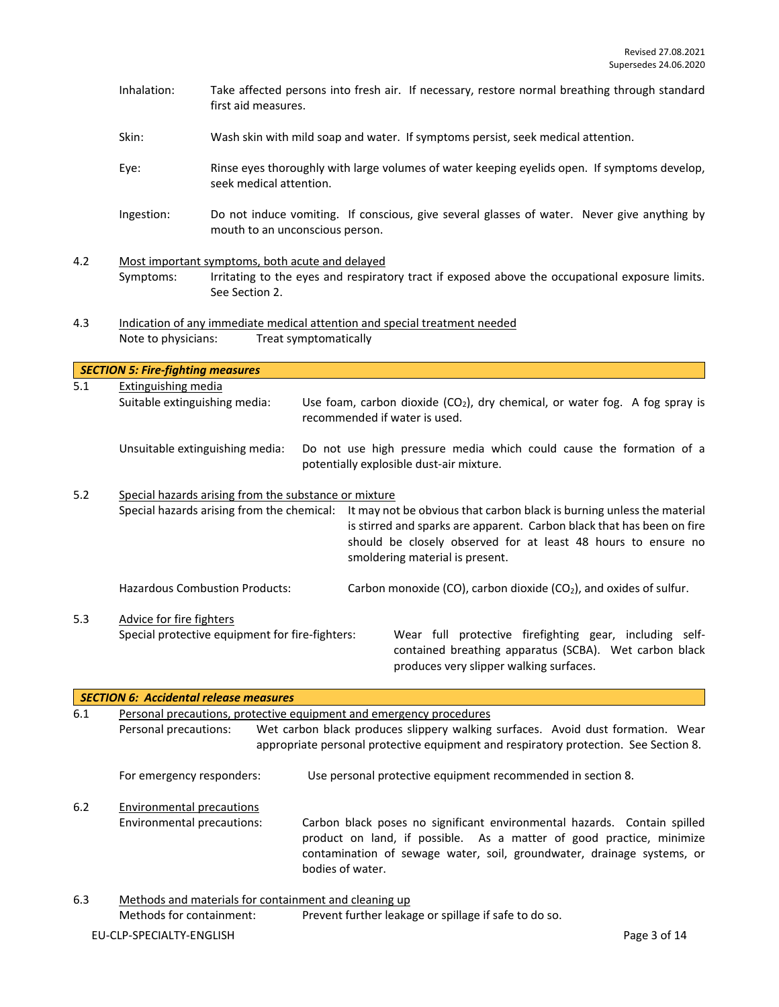- Inhalation: Take affected persons into fresh air. If necessary, restore normal breathing through standard first aid measures.
- Skin: Wash skin with mild soap and water. If symptoms persist, seek medical attention.
- Eye: Rinse eyes thoroughly with large volumes of water keeping eyelids open. If symptoms develop, seek medical attention.
- Ingestion: Do not induce vomiting. If conscious, give several glasses of water. Never give anything by mouth to an unconscious person.
- 4.2 Most important symptoms, both acute and delayed Symptoms: Irritating to the eyes and respiratory tract if exposed above the occupational exposure limits. See Section 2.
- 4.3 Indication of any immediate medical attention and special treatment needed Note to physicians: Treat symptomatically

|     | <b>SECTION 5: Fire-fighting measures</b>              |  |                                                                                                                                                                                                                                                      |  |  |  |
|-----|-------------------------------------------------------|--|------------------------------------------------------------------------------------------------------------------------------------------------------------------------------------------------------------------------------------------------------|--|--|--|
| 5.1 | Extinguishing media                                   |  |                                                                                                                                                                                                                                                      |  |  |  |
|     | Suitable extinguishing media:                         |  | Use foam, carbon dioxide $(CO_2)$ , dry chemical, or water fog. A fog spray is<br>recommended if water is used.                                                                                                                                      |  |  |  |
|     | Unsuitable extinguishing media:                       |  | Do not use high pressure media which could cause the formation of a<br>potentially explosible dust-air mixture.                                                                                                                                      |  |  |  |
| 5.2 | Special hazards arising from the substance or mixture |  |                                                                                                                                                                                                                                                      |  |  |  |
|     | Special hazards arising from the chemical:            |  | It may not be obvious that carbon black is burning unless the material<br>is stirred and sparks are apparent. Carbon black that has been on fire<br>should be closely observed for at least 48 hours to ensure no<br>smoldering material is present. |  |  |  |
|     | <b>Hazardous Combustion Products:</b>                 |  | Carbon monoxide (CO), carbon dioxide (CO <sub>2</sub> ), and oxides of sulfur.                                                                                                                                                                       |  |  |  |
| 5.3 | Advice for fire fighters                              |  |                                                                                                                                                                                                                                                      |  |  |  |
|     | Special protective equipment for fire-fighters:       |  | Wear full protective firefighting gear, including self-<br>contained breathing apparatus (SCBA). Wet carbon black                                                                                                                                    |  |  |  |

| 6.1 |                            | Personal precautions, protective equipment and emergency procedures                                                                                                                                                                            |  |  |  |  |  |
|-----|----------------------------|------------------------------------------------------------------------------------------------------------------------------------------------------------------------------------------------------------------------------------------------|--|--|--|--|--|
|     | Personal precautions:      | Wet carbon black produces slippery walking surfaces. Avoid dust formation. Wear                                                                                                                                                                |  |  |  |  |  |
|     |                            | appropriate personal protective equipment and respiratory protection. See Section 8.                                                                                                                                                           |  |  |  |  |  |
|     | For emergency responders:  | Use personal protective equipment recommended in section 8.                                                                                                                                                                                    |  |  |  |  |  |
| 6.2 |                            | Environmental precautions                                                                                                                                                                                                                      |  |  |  |  |  |
|     | Environmental precautions: | Carbon black poses no significant environmental hazards. Contain spilled<br>product on land, if possible. As a matter of good practice, minimize<br>contamination of sewage water, soil, groundwater, drainage systems, or<br>bodies of water. |  |  |  |  |  |
| 6.3 |                            | Methods and materials for containment and cleaning up                                                                                                                                                                                          |  |  |  |  |  |
|     | Methods for containment:   | Prevent further leakage or spillage if safe to do so.                                                                                                                                                                                          |  |  |  |  |  |

produces very slipper walking surfaces.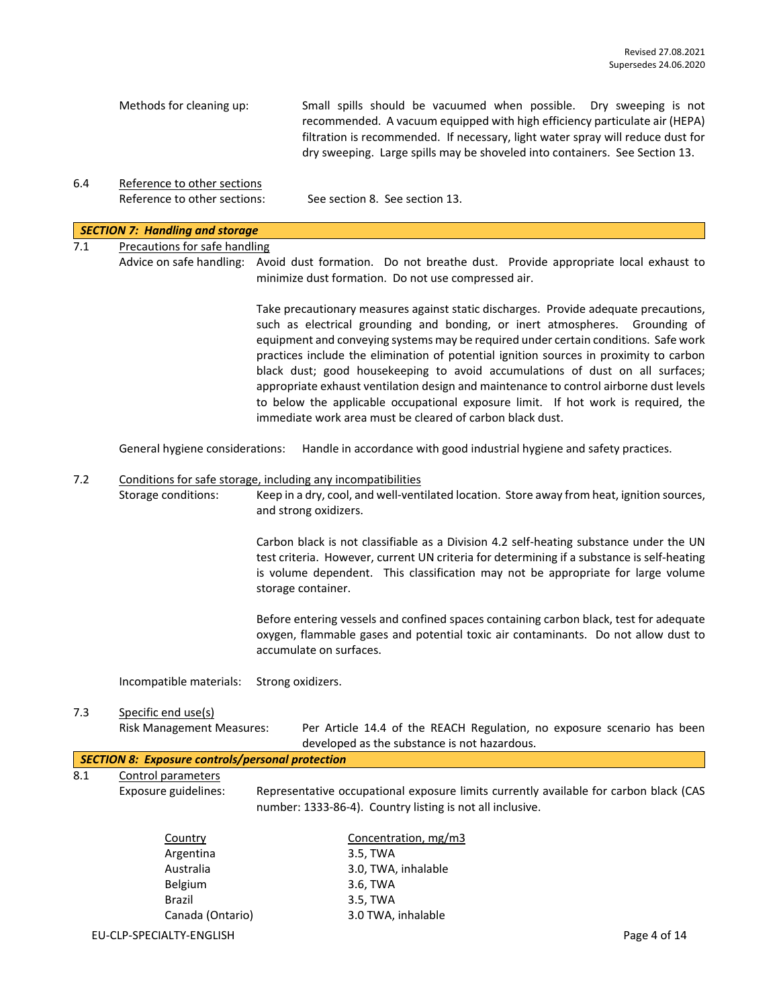| Methods for cleaning up: | Small spills should be vacuumed when possible. Dry sweeping is not              |
|--------------------------|---------------------------------------------------------------------------------|
|                          | recommended. A vacuum equipped with high efficiency particulate air (HEPA)      |
|                          | filtration is recommended. If necessary, light water spray will reduce dust for |
|                          | dry sweeping. Large spills may be shoveled into containers. See Section 13.     |

6.4 Reference to other sections Reference to other sections: See section 8. See section 13.

## *SECTION 7: Handling and storage*

# 7.1 Precautions for safe handling

Advice on safe handling: Avoid dust formation. Do not breathe dust. Provide appropriate local exhaust to minimize dust formation. Do not use compressed air.

> Take precautionary measures against static discharges. Provide adequate precautions, such as electrical grounding and bonding, or inert atmospheres. Grounding of equipment and conveying systems may be required under certain conditions. Safe work practices include the elimination of potential ignition sources in proximity to carbon black dust; good housekeeping to avoid accumulations of dust on all surfaces; appropriate exhaust ventilation design and maintenance to control airborne dust levels to below the applicable occupational exposure limit. If hot work is required, the immediate work area must be cleared of carbon black dust.

General hygiene considerations: Handle in accordance with good industrial hygiene and safety practices.

#### 7.2 Conditions for safe storage, including any incompatibilities

Storage conditions: Keep in a dry, cool, and well-ventilated location. Store away from heat, ignition sources, and strong oxidizers.

> Carbon black is not classifiable as a Division 4.2 self-heating substance under the UN test criteria. However, current UN criteria for determining if a substance is self-heating is volume dependent. This classification may not be appropriate for large volume storage container.

> Before entering vessels and confined spaces containing carbon black, test for adequate oxygen, flammable gases and potential toxic air contaminants. Do not allow dust to accumulate on surfaces.

Incompatible materials: Strong oxidizers.

# 7.3 Specific end use(s)

Risk Management Measures: Per Article 14.4 of the REACH Regulation, no exposure scenario has been developed as the substance is not hazardous.

|  | SECTION 8: Exposure controls/personal protection                                                                                                                                                                                                                                                                                   |  |
|--|------------------------------------------------------------------------------------------------------------------------------------------------------------------------------------------------------------------------------------------------------------------------------------------------------------------------------------|--|
|  | $\mathbf{0}$ $\mathbf{A}$ $\mathbf{0}$ $\mathbf{0}$ $\mathbf{0}$ $\mathbf{0}$ $\mathbf{0}$ $\mathbf{0}$ $\mathbf{0}$ $\mathbf{0}$ $\mathbf{0}$ $\mathbf{0}$ $\mathbf{0}$ $\mathbf{0}$ $\mathbf{0}$ $\mathbf{0}$ $\mathbf{0}$ $\mathbf{0}$ $\mathbf{0}$ $\mathbf{0}$ $\mathbf{0}$ $\mathbf{0}$ $\mathbf{0}$ $\mathbf{0}$ $\mathbf{$ |  |

8.1 Control parameters

Exposure guidelines: Representative occupational exposure limits currently available for carbon black (CAS number: 1333-86-4). Country listing is not all inclusive.

| Country          | Concentration, mg/m3 |
|------------------|----------------------|
| Argentina        | 3.5, TWA             |
| Australia        | 3.0, TWA, inhalable  |
| <b>Belgium</b>   | 3.6, TWA             |
| <b>Brazil</b>    | 3.5, TWA             |
| Canada (Ontario) | 3.0 TWA, inhalable   |
|                  |                      |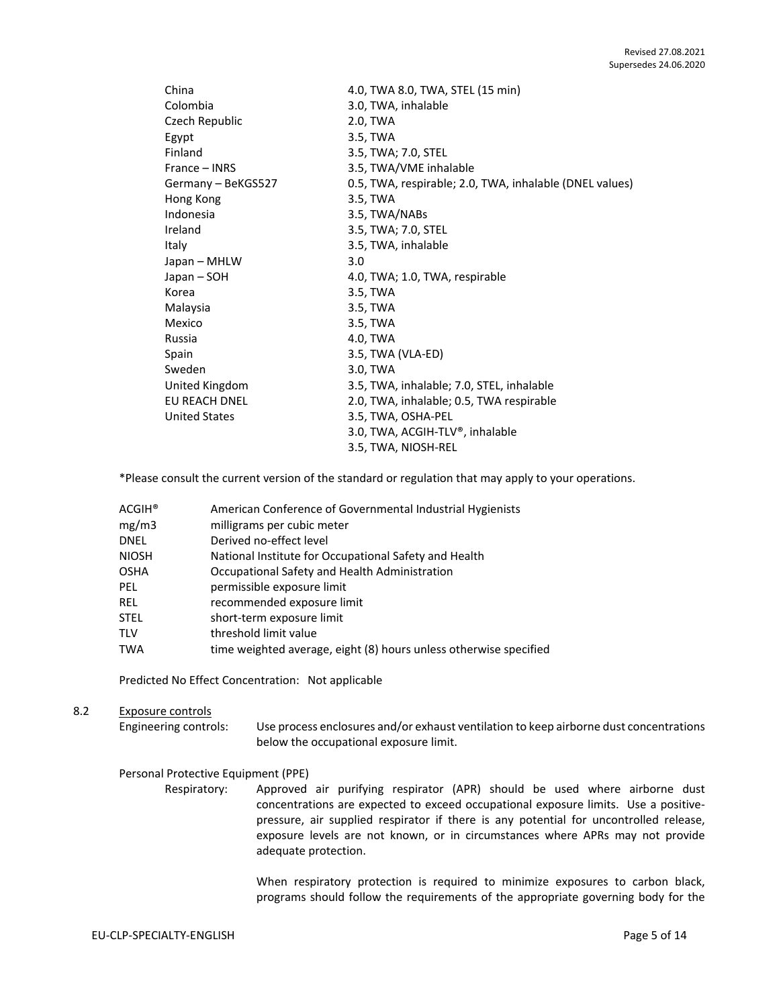| China                | 4.0, TWA 8.0, TWA, STEL (15 min)                        |
|----------------------|---------------------------------------------------------|
| Colombia             | 3.0, TWA, inhalable                                     |
| Czech Republic       | 2.0, TWA                                                |
| Egypt                | 3.5, TWA                                                |
| Finland              | 3.5, TWA; 7.0, STEL                                     |
| France – INRS        | 3.5, TWA/VME inhalable                                  |
| Germany - BeKGS527   | 0.5, TWA, respirable; 2.0, TWA, inhalable (DNEL values) |
| Hong Kong            | 3.5, TWA                                                |
| Indonesia            | 3.5, TWA/NABs                                           |
| Ireland              | 3.5, TWA; 7.0, STEL                                     |
| Italy                | 3.5, TWA, inhalable                                     |
| Japan – MHLW         | 3.0                                                     |
| Japan – SOH          | 4.0, TWA; 1.0, TWA, respirable                          |
| Korea                | 3.5, TWA                                                |
| Malaysia             | 3.5, TWA                                                |
| Mexico               | 3.5, TWA                                                |
| Russia               | 4.0, TWA                                                |
| Spain                | 3.5, TWA (VLA-ED)                                       |
| Sweden               | 3.0, TWA                                                |
| United Kingdom       | 3.5, TWA, inhalable; 7.0, STEL, inhalable               |
| EU REACH DNEL        | 2.0, TWA, inhalable; 0.5, TWA respirable                |
| <b>United States</b> | 3.5, TWA, OSHA-PEL                                      |
|                      | 3.0, TWA, ACGIH-TLV®, inhalable                         |
|                      | 3.5, TWA, NIOSH-REL                                     |

\*Please consult the current version of the standard or regulation that may apply to your operations.

| ACGIH® | American Conference of Governmental Industrial Hygienists         |
|--------|-------------------------------------------------------------------|
| mg/m3  | milligrams per cubic meter                                        |
| DNEL   | Derived no-effect level                                           |
| NIOSH  | National Institute for Occupational Safety and Health             |
| OSHA   | Occupational Safety and Health Administration                     |
| PEL    | permissible exposure limit                                        |
| REL    | recommended exposure limit                                        |
| STEL   | short-term exposure limit                                         |
| TLV    | threshold limit value                                             |
| TWA    | time weighted average, eight (8) hours unless otherwise specified |
|        |                                                                   |

Predicted No Effect Concentration: Not applicable

#### 8.2 Exposure controls

Engineering controls: Use process enclosures and/or exhaust ventilation to keep airborne dust concentrations below the occupational exposure limit.

## Personal Protective Equipment (PPE)

Respiratory: Approved air purifying respirator (APR) should be used where airborne dust concentrations are expected to exceed occupational exposure limits. Use a positivepressure, air supplied respirator if there is any potential for uncontrolled release, exposure levels are not known, or in circumstances where APRs may not provide adequate protection.

> When respiratory protection is required to minimize exposures to carbon black, programs should follow the requirements of the appropriate governing body for the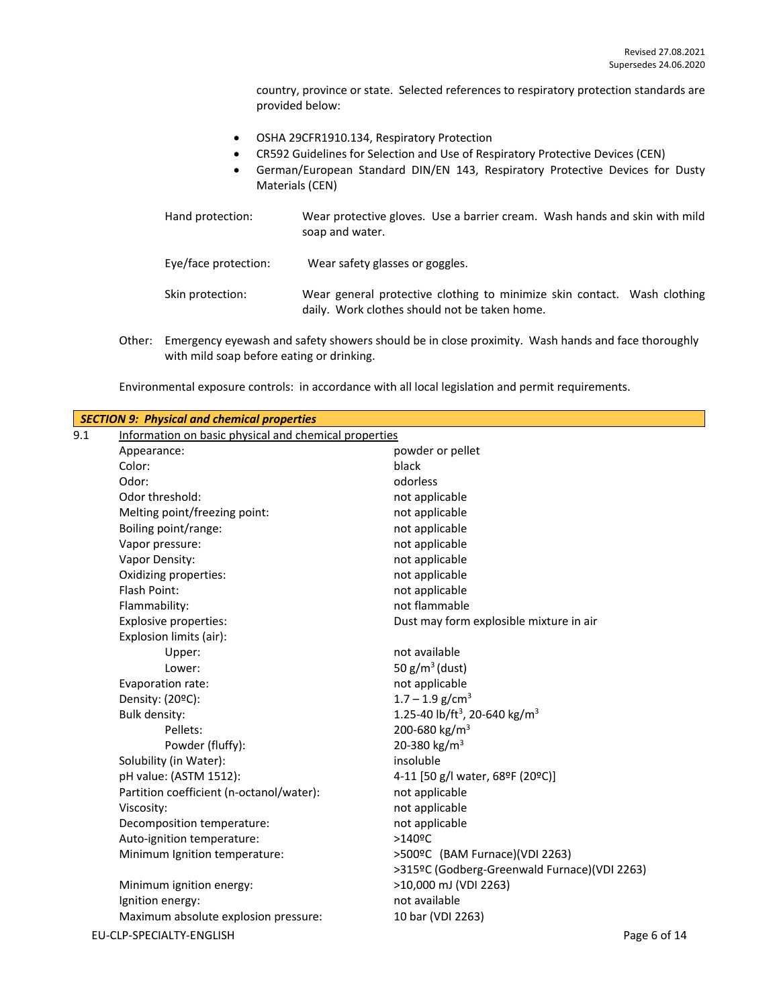country, province or state. Selected references to respiratory protection standards are provided below:

- OSHA 29CFR1910.134, Respiratory Protection
- CR592 Guidelines for Selection and Use of Respiratory Protective Devices (CEN)
- German/European Standard DIN/EN 143, Respiratory Protective Devices for Dusty Materials (CEN)

| Hand protection:     | Wear protective gloves. Use a barrier cream. Wash hands and skin with mild<br>soap and water.                             |
|----------------------|---------------------------------------------------------------------------------------------------------------------------|
| Eye/face protection: | Wear safety glasses or goggles.                                                                                           |
| Skin protection:     | Wear general protective clothing to minimize skin contact. Wash clothing<br>daily. Work clothes should not be taken home. |

Other: Emergency eyewash and safety showers should be in close proximity. Wash hands and face thoroughly with mild soap before eating or drinking.

| Environmental exposure controls: in accordance with all local legislation and permit requirements. |  |  |  |
|----------------------------------------------------------------------------------------------------|--|--|--|
|----------------------------------------------------------------------------------------------------|--|--|--|

| <b>SECTION 9: Physical and chemical properties</b> |                                                       |                                                       |  |
|----------------------------------------------------|-------------------------------------------------------|-------------------------------------------------------|--|
| 9.1                                                | Information on basic physical and chemical properties |                                                       |  |
|                                                    | Appearance:                                           | powder or pellet                                      |  |
|                                                    | Color:                                                | black                                                 |  |
|                                                    | Odor:                                                 | odorless                                              |  |
|                                                    | Odor threshold:                                       | not applicable                                        |  |
|                                                    | Melting point/freezing point:                         | not applicable                                        |  |
|                                                    | Boiling point/range:                                  | not applicable                                        |  |
|                                                    | Vapor pressure:                                       | not applicable                                        |  |
|                                                    | Vapor Density:                                        | not applicable                                        |  |
|                                                    | Oxidizing properties:                                 | not applicable                                        |  |
|                                                    | Flash Point:                                          | not applicable                                        |  |
|                                                    | Flammability:                                         | not flammable                                         |  |
|                                                    | <b>Explosive properties:</b>                          | Dust may form explosible mixture in air               |  |
|                                                    | Explosion limits (air):                               |                                                       |  |
|                                                    | Upper:                                                | not available                                         |  |
|                                                    | Lower:                                                | 50 $g/m^3$ (dust)                                     |  |
|                                                    | Evaporation rate:                                     | not applicable                                        |  |
|                                                    | Density: (20ºC):                                      | $1.7 - 1.9$ g/cm <sup>3</sup>                         |  |
|                                                    | <b>Bulk density:</b>                                  | 1.25-40 lb/ft <sup>3</sup> , 20-640 kg/m <sup>3</sup> |  |
|                                                    | Pellets:                                              | 200-680 kg/m <sup>3</sup>                             |  |
|                                                    | Powder (fluffy):                                      | 20-380 kg/m <sup>3</sup>                              |  |
|                                                    | Solubility (in Water):                                | insoluble                                             |  |
|                                                    | pH value: (ASTM 1512):                                | 4-11 [50 g/l water, 68ºF (20ºC)]                      |  |
|                                                    | Partition coefficient (n-octanol/water):              | not applicable                                        |  |
|                                                    | Viscosity:                                            | not applicable                                        |  |
|                                                    | Decomposition temperature:                            | not applicable                                        |  |
|                                                    | Auto-ignition temperature:                            | $>140$ <sup>o</sup> C                                 |  |
|                                                    | Minimum Ignition temperature:                         | >500ºC (BAM Furnace)(VDI 2263)                        |  |
|                                                    |                                                       | >315ºC (Godberg-Greenwald Furnace)(VDI 2263)          |  |
|                                                    | Minimum ignition energy:                              | >10,000 mJ (VDI 2263)                                 |  |
|                                                    | Ignition energy:                                      | not available                                         |  |
|                                                    | Maximum absolute explosion pressure:                  | 10 bar (VDI 2263)                                     |  |
|                                                    | EU-CLP-SPECIALTY-ENGLISH                              | Page 6 of 14                                          |  |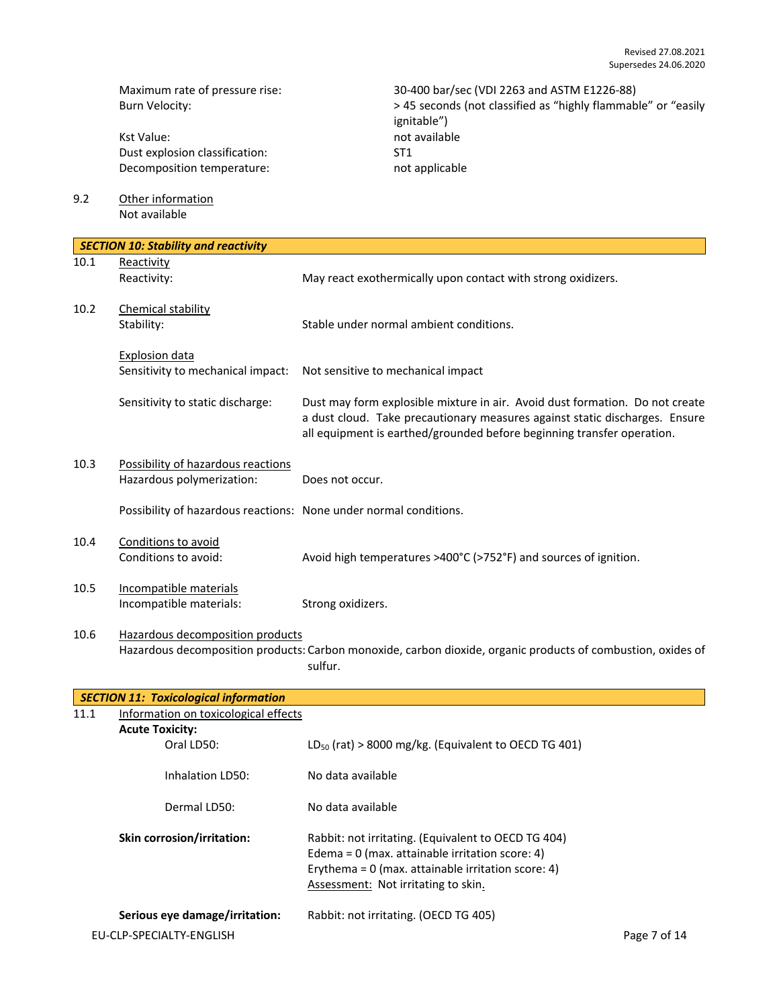Kst Value: not available Dust explosion classification: ST1<br>Decomposition temperature: ST1<br>not applicable Decomposition temperature:

Maximum rate of pressure rise: 30-400 bar/sec (VDI 2263 and ASTM E1226-88)<br>Burn Velocity: 38 seconds (not classified as "highly flammab" > 45 seconds (not classified as "highly flammab > 45 seconds (not classified as "highly flammable" or "easily ignitable")

9.2 Other information Not available

|      | <b>SECTION 10: Stability and reactivity</b>                       |                                                                                                                                                                                                                                       |
|------|-------------------------------------------------------------------|---------------------------------------------------------------------------------------------------------------------------------------------------------------------------------------------------------------------------------------|
| 10.1 | Reactivity                                                        |                                                                                                                                                                                                                                       |
|      | Reactivity:                                                       | May react exothermically upon contact with strong oxidizers.                                                                                                                                                                          |
| 10.2 | Chemical stability                                                |                                                                                                                                                                                                                                       |
|      | Stability:                                                        | Stable under normal ambient conditions.                                                                                                                                                                                               |
|      | <b>Explosion data</b>                                             |                                                                                                                                                                                                                                       |
|      | Sensitivity to mechanical impact:                                 | Not sensitive to mechanical impact                                                                                                                                                                                                    |
|      | Sensitivity to static discharge:                                  | Dust may form explosible mixture in air. Avoid dust formation. Do not create<br>a dust cloud. Take precautionary measures against static discharges. Ensure<br>all equipment is earthed/grounded before beginning transfer operation. |
| 10.3 | Possibility of hazardous reactions                                |                                                                                                                                                                                                                                       |
|      | Hazardous polymerization:                                         | Does not occur.                                                                                                                                                                                                                       |
|      | Possibility of hazardous reactions: None under normal conditions. |                                                                                                                                                                                                                                       |
| 10.4 | Conditions to avoid                                               |                                                                                                                                                                                                                                       |
|      | Conditions to avoid:                                              | Avoid high temperatures >400°C (>752°F) and sources of ignition.                                                                                                                                                                      |
| 10.5 | Incompatible materials                                            |                                                                                                                                                                                                                                       |
|      | Incompatible materials:                                           | Strong oxidizers.                                                                                                                                                                                                                     |
| 10.6 | Hazardous decomposition products                                  |                                                                                                                                                                                                                                       |
|      |                                                                   | Hazardous decomposition products: Carbon monoxide, carbon dioxide, organic products of combustion, oxides of<br>sulfur.                                                                                                               |
|      | <b>SECTION 11: Toxicological information</b>                      |                                                                                                                                                                                                                                       |

| 11.1 | Information on toxicological effects                       |                                                                                                                                                                                                         |              |
|------|------------------------------------------------------------|---------------------------------------------------------------------------------------------------------------------------------------------------------------------------------------------------------|--------------|
|      | <b>Acute Toxicity:</b>                                     |                                                                                                                                                                                                         |              |
|      | Oral LD50:                                                 | $LD_{50}$ (rat) > 8000 mg/kg. (Equivalent to OECD TG 401)                                                                                                                                               |              |
|      | Inhalation LD50:                                           | No data available                                                                                                                                                                                       |              |
|      | Dermal LD50:                                               | No data available                                                                                                                                                                                       |              |
|      | <b>Skin corrosion/irritation:</b>                          | Rabbit: not irritating. (Equivalent to OECD TG 404)<br>Edema = $0$ (max. attainable irritation score: 4)<br>Erythema = $0$ (max. attainable irritation score: 4)<br>Assessment: Not irritating to skin. |              |
|      | Serious eye damage/irritation:<br>EU-CLP-SPECIALTY-ENGLISH | Rabbit: not irritating. (OECD TG 405)                                                                                                                                                                   | Page 7 of 14 |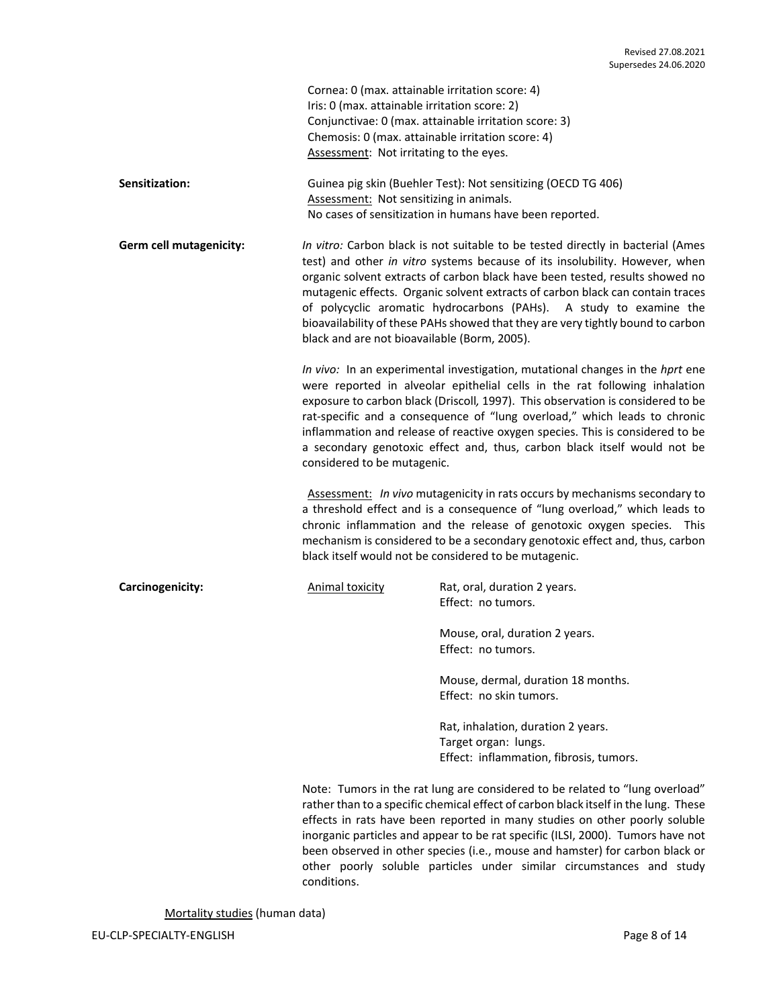| Cornea: 0 (max. attainable irritation score: 4)       |
|-------------------------------------------------------|
| Iris: 0 (max. attainable irritation score: 2)         |
| Conjunctivae: 0 (max. attainable irritation score: 3) |
| Chemosis: 0 (max. attainable irritation score: 4)     |
| Assessment: Not irritating to the eyes.               |

**Sensitization:** Guinea pig skin (Buehler Test): Not sensitizing (OECD TG 406) Assessment: Not sensitizing in animals. No cases of sensitization in humans have been reported.

**Germ cell mutagenicity:** *In vitro:* Carbon black is not suitable to be tested directly in bacterial (Ames test) and other *in vitro* systems because of its insolubility. However, when organic solvent extracts of carbon black have been tested, results showed no mutagenic effects. Organic solvent extracts of carbon black can contain traces of polycyclic aromatic hydrocarbons (PAHs). A study to examine the bioavailability of these PAHs showed that they are very tightly bound to carbon black and are not bioavailable (Borm, 2005).

> *In vivo:* In an experimental investigation, mutational changes in the *hprt* ene were reported in alveolar epithelial cells in the rat following inhalation exposure to carbon black (Driscoll*,* 1997). This observation is considered to be rat-specific and a consequence of "lung overload," which leads to chronic inflammation and release of reactive oxygen species. This is considered to be a secondary genotoxic effect and, thus, carbon black itself would not be considered to be mutagenic.

> Assessment: *In vivo* mutagenicity in rats occurs by mechanisms secondary to a threshold effect and is a consequence of "lung overload," which leads to chronic inflammation and the release of genotoxic oxygen species. This mechanism is considered to be a secondary genotoxic effect and, thus, carbon black itself would not be considered to be mutagenic.

**Carcinogenicity:** Animal toxicity Rat, oral, duration 2 years. Effect: no tumors.

> Mouse, oral, duration 2 years. Effect: no tumors.

Mouse, dermal, duration 18 months. Effect: no skin tumors.

Rat, inhalation, duration 2 years. Target organ: lungs. Effect: inflammation, fibrosis, tumors.

Note: Tumors in the rat lung are considered to be related to "lung overload" rather than to a specific chemical effect of carbon black itself in the lung. These effects in rats have been reported in many studies on other poorly soluble inorganic particles and appear to be rat specific (ILSI, 2000). Tumors have not been observed in other species (i.e., mouse and hamster) for carbon black or other poorly soluble particles under similar circumstances and study conditions.

Mortality studies (human data)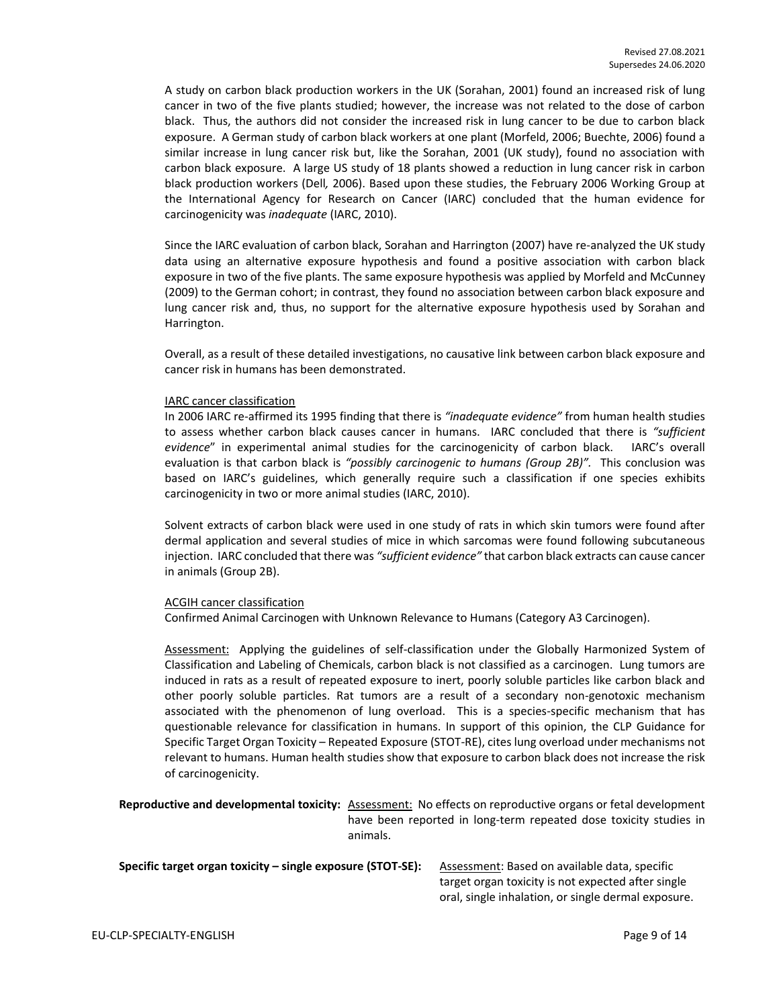A study on carbon black production workers in the UK (Sorahan, 2001) found an increased risk of lung cancer in two of the five plants studied; however, the increase was not related to the dose of carbon black. Thus, the authors did not consider the increased risk in lung cancer to be due to carbon black exposure. A German study of carbon black workers at one plant (Morfeld, 2006; Buechte, 2006) found a similar increase in lung cancer risk but, like the Sorahan, 2001 (UK study), found no association with carbon black exposure. A large US study of 18 plants showed a reduction in lung cancer risk in carbon black production workers (Dell*,* 2006). Based upon these studies, the February 2006 Working Group at the International Agency for Research on Cancer (IARC) concluded that the human evidence for carcinogenicity was *inadequate* (IARC, 2010).

Since the IARC evaluation of carbon black, Sorahan and Harrington (2007) have re-analyzed the UK study data using an alternative exposure hypothesis and found a positive association with carbon black exposure in two of the five plants. The same exposure hypothesis was applied by Morfeld and McCunney (2009) to the German cohort; in contrast, they found no association between carbon black exposure and lung cancer risk and, thus, no support for the alternative exposure hypothesis used by Sorahan and Harrington.

Overall, as a result of these detailed investigations, no causative link between carbon black exposure and cancer risk in humans has been demonstrated.

#### IARC cancer classification

In 2006 IARC re-affirmed its 1995 finding that there is *"inadequate evidence"* from human health studies to assess whether carbon black causes cancer in humans. IARC concluded that there is *"sufficient evidence*" in experimental animal studies for the carcinogenicity of carbon black. IARC's overall evaluation is that carbon black is *"possibly carcinogenic to humans (Group 2B)".* This conclusion was based on IARC's guidelines, which generally require such a classification if one species exhibits carcinogenicity in two or more animal studies (IARC, 2010).

Solvent extracts of carbon black were used in one study of rats in which skin tumors were found after dermal application and several studies of mice in which sarcomas were found following subcutaneous injection. IARC concluded that there was *"sufficient evidence"* that carbon black extracts can cause cancer in animals (Group 2B).

#### ACGIH cancer classification

Confirmed Animal Carcinogen with Unknown Relevance to Humans (Category A3 Carcinogen).

Assessment: Applying the guidelines of self-classification under the Globally Harmonized System of Classification and Labeling of Chemicals, carbon black is not classified as a carcinogen. Lung tumors are induced in rats as a result of repeated exposure to inert, poorly soluble particles like carbon black and other poorly soluble particles. Rat tumors are a result of a secondary non-genotoxic mechanism associated with the phenomenon of lung overload. This is a species-specific mechanism that has questionable relevance for classification in humans. In support of this opinion, the CLP Guidance for Specific Target Organ Toxicity – Repeated Exposure (STOT-RE), cites lung overload under mechanisms not relevant to humans. Human health studies show that exposure to carbon black does not increase the risk of carcinogenicity.

**Reproductive and developmental toxicity:** Assessment: No effects on reproductive organs or fetal development have been reported in long-term repeated dose toxicity studies in animals.

| Specific target organ toxicity – single exposure (STOT-SE): | Assessment: Based on available data, specific       |
|-------------------------------------------------------------|-----------------------------------------------------|
|                                                             | target organ toxicity is not expected after single  |
|                                                             | oral, single inhalation, or single dermal exposure. |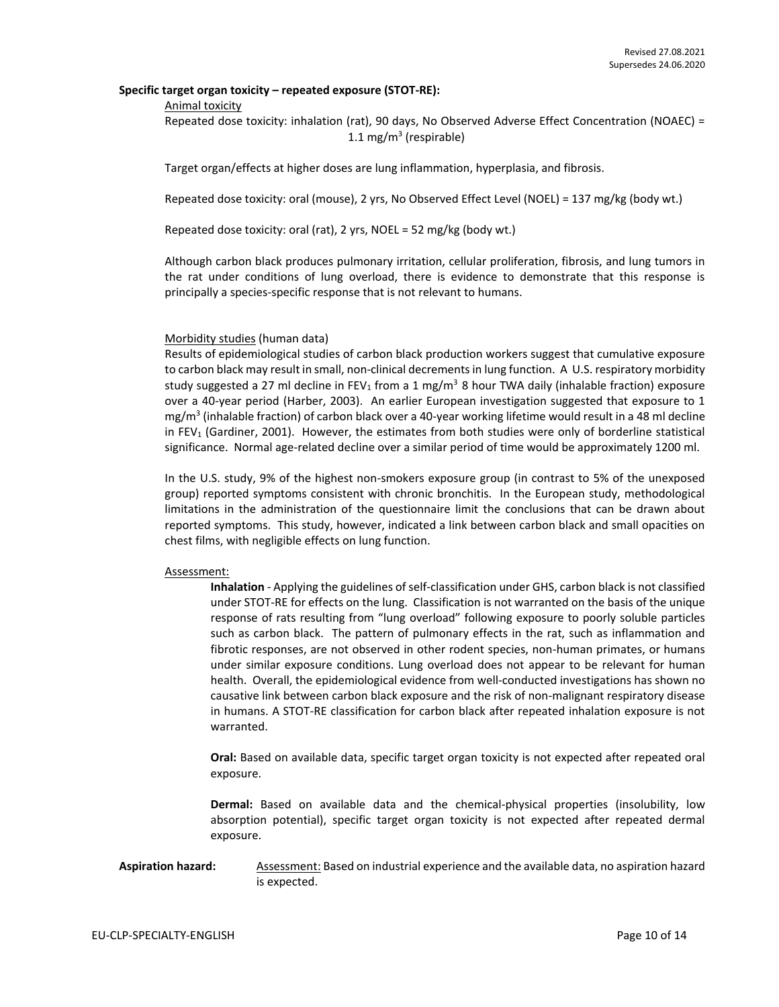#### **Specific target organ toxicity – repeated exposure (STOT-RE):**

#### Animal toxicity

Repeated dose toxicity: inhalation (rat), 90 days, No Observed Adverse Effect Concentration (NOAEC) = 1.1 mg/m<sup>3</sup> (respirable)

Target organ/effects at higher doses are lung inflammation, hyperplasia, and fibrosis.

Repeated dose toxicity: oral (mouse), 2 yrs, No Observed Effect Level (NOEL) = 137 mg/kg (body wt.)

Repeated dose toxicity: oral (rat), 2 yrs, NOEL = 52 mg/kg (body wt.)

Although carbon black produces pulmonary irritation, cellular proliferation, fibrosis, and lung tumors in the rat under conditions of lung overload, there is evidence to demonstrate that this response is principally a species-specific response that is not relevant to humans.

## Morbidity studies (human data)

Results of epidemiological studies of carbon black production workers suggest that cumulative exposure to carbon black may result in small, non-clinical decrements in lung function. A U.S. respiratory morbidity study suggested a 27 ml decline in FEV<sub>1</sub> from a 1 mg/m<sup>3</sup> 8 hour TWA daily (inhalable fraction) exposure over a 40-year period (Harber, 2003). An earlier European investigation suggested that exposure to 1 mg/m<sup>3</sup> (inhalable fraction) of carbon black over a 40-year working lifetime would result in a 48 ml decline in FEV<sub>1</sub> (Gardiner, 2001). However, the estimates from both studies were only of borderline statistical significance. Normal age-related decline over a similar period of time would be approximately 1200 ml.

In the U.S. study, 9% of the highest non-smokers exposure group (in contrast to 5% of the unexposed group) reported symptoms consistent with chronic bronchitis. In the European study, methodological limitations in the administration of the questionnaire limit the conclusions that can be drawn about reported symptoms. This study, however, indicated a link between carbon black and small opacities on chest films, with negligible effects on lung function.

#### Assessment:

**Inhalation** - Applying the guidelines of self-classification under GHS, carbon black is not classified under STOT-RE for effects on the lung. Classification is not warranted on the basis of the unique response of rats resulting from "lung overload" following exposure to poorly soluble particles such as carbon black. The pattern of pulmonary effects in the rat, such as inflammation and fibrotic responses, are not observed in other rodent species, non-human primates, or humans under similar exposure conditions. Lung overload does not appear to be relevant for human health. Overall, the epidemiological evidence from well-conducted investigations has shown no causative link between carbon black exposure and the risk of non-malignant respiratory disease in humans. A STOT-RE classification for carbon black after repeated inhalation exposure is not warranted.

**Oral:** Based on available data, specific target organ toxicity is not expected after repeated oral exposure.

**Dermal:** Based on available data and the chemical-physical properties (insolubility, low absorption potential), specific target organ toxicity is not expected after repeated dermal exposure.

## Aspiration hazard: Assessment: Based on industrial experience and the available data, no aspiration hazard is expected.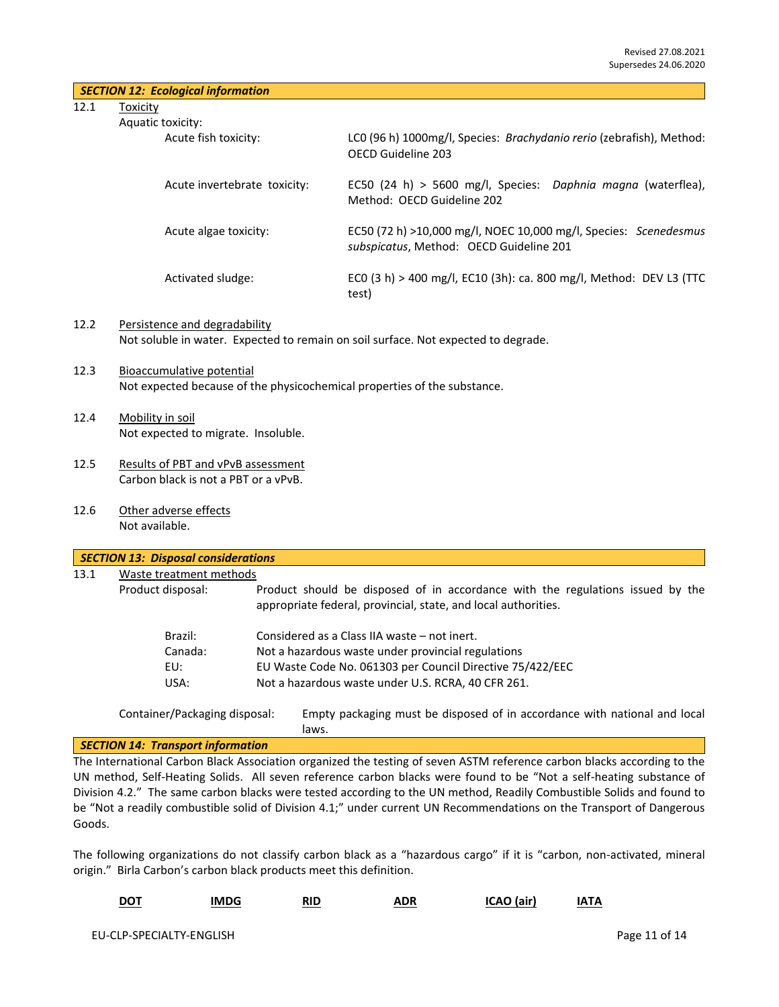| <b>SECTION 12: Ecological information</b> |  |  |
|-------------------------------------------|--|--|
|-------------------------------------------|--|--|

12.1 Toxicity

Aquat

| tic toxicity:                |                                                                                                             |
|------------------------------|-------------------------------------------------------------------------------------------------------------|
| Acute fish toxicity:         | LCO (96 h) 1000mg/l, Species: Brachydanio rerio (zebrafish), Method:<br>OECD Guideline 203                  |
| Acute invertebrate toxicity: | EC50 (24 h) > 5600 mg/l, Species: Daphnia magna (waterflea),<br>Method: OFCD Guideline 202                  |
| Acute algae toxicity:        | EC50 (72 h) >10,000 mg/l, NOEC 10,000 mg/l, Species: Scenedesmus<br>subspicatus, Method: OECD Guideline 201 |
| Activated sludge:            | ECO (3 h) > 400 mg/l, EC10 (3h): ca. 800 mg/l, Method: DEV L3 (TTC<br>test)                                 |

- 12.2 Persistence and degradability Not soluble in water. Expected to remain on soil surface. Not expected to degrade.
- 12.3 Bioaccumulative potential Not expected because of the physicochemical properties of the substance.
- 12.4 Mobility in soil Not expected to migrate. Insoluble.
- 12.5 Results of PBT and vPvB assessment Carbon black is not a PBT or a vPvB.
- 12.6 Other adverse effects Not available.

| 13.1 | Waste treatment methods |                                                                                                                                                  |
|------|-------------------------|--------------------------------------------------------------------------------------------------------------------------------------------------|
|      | Product disposal:       | Product should be disposed of in accordance with the regulations issued by the<br>appropriate federal, provincial, state, and local authorities. |
|      | Brazil:                 | Considered as a Class IIA waste – not inert.                                                                                                     |
|      | Canada:                 | Not a hazardous waste under provincial regulations                                                                                               |
|      | EU:                     | EU Waste Code No. 061303 per Council Directive 75/422/EEC                                                                                        |
|      | USA:                    | Not a hazardous waste under U.S. RCRA, 40 CFR 261.                                                                                               |

#### *SECTION 14: Transport information*

The International Carbon Black Association organized the testing of seven ASTM reference carbon blacks according to the UN method, Self-Heating Solids. All seven reference carbon blacks were found to be "Not a self-heating substance of Division 4.2." The same carbon blacks were tested according to the UN method, Readily Combustible Solids and found to be "Not a readily combustible solid of Division 4.1;" under current UN Recommendations on the Transport of Dangerous Goods.

The following organizations do not classify carbon black as a "hazardous cargo" if it is "carbon, non-activated, mineral origin." Birla Carbon's carbon black products meet this definition.

| <b>DOT</b> | IMDG | ₹ID | <b>ADR</b><br>.<br>_____ | <b>ICAO</b> (air) | ΙΑΤΑ |
|------------|------|-----|--------------------------|-------------------|------|
|------------|------|-----|--------------------------|-------------------|------|

laws.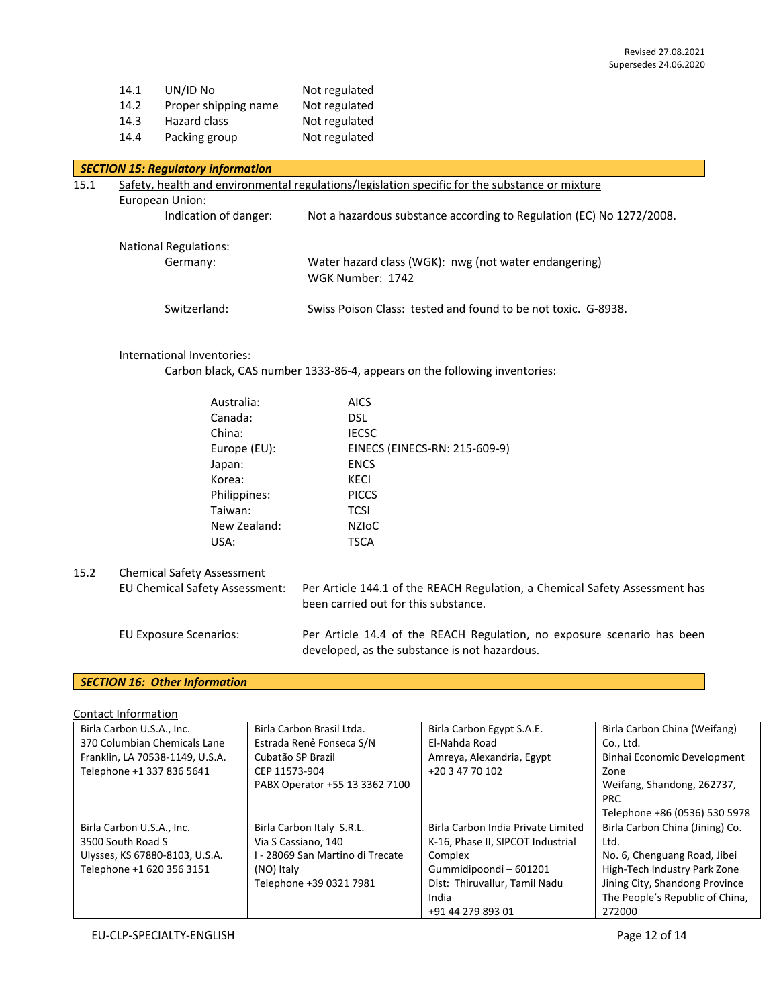| 14.1 | UN/ID No             | Not regulated |
|------|----------------------|---------------|
| 14.2 | Proper shipping name | Not regulated |
| 14.3 | Hazard class         | Not regulated |
| 14.4 | Packing group        | Not regulated |

## *SECTION 15: Regulatory information*

| 15.1 | Safety, health and environmental regulations/legislation specific for the substance or mixture |                                                                           |  |
|------|------------------------------------------------------------------------------------------------|---------------------------------------------------------------------------|--|
|      | European Union:                                                                                |                                                                           |  |
|      | Indication of danger:                                                                          | Not a hazardous substance according to Regulation (EC) No 1272/2008.      |  |
|      | <b>National Regulations:</b>                                                                   |                                                                           |  |
|      | Germany:                                                                                       | Water hazard class (WGK): nwg (not water endangering)<br>WGK Number: 1742 |  |
|      | Switzerland:                                                                                   | Swiss Poison Class: tested and found to be not toxic. G-8938.             |  |

### International Inventories:

Carbon black, CAS number 1333-86-4, appears on the following inventories:

| Australia:   | <b>AICS</b>                   |
|--------------|-------------------------------|
| Canada:      | <b>DSL</b>                    |
| China:       | <b>IECSC</b>                  |
| Europe (EU): | EINECS (EINECS-RN: 215-609-9) |
| Japan:       | <b>ENCS</b>                   |
| Korea:       | <b>KECI</b>                   |
| Philippines: | <b>PICCS</b>                  |
| Taiwan:      | <b>TCSI</b>                   |
| New Zealand: | NZIOC                         |
| USA:         | TSCA                          |
|              |                               |

# 15.2 Chemical Safety Assessment

EU Chemical Safety Assessment: Per Article 144.1 of the REACH Regulation, a Chemical Safety Assessment has been carried out for this substance. EU Exposure Scenarios: Per Article 14.4 of the REACH Regulation, no exposure scenario has been developed, as the substance is not hazardous.

# *SECTION 16: Other Information*

Contact Information

| Birla Carbon U.S.A., Inc.       | Birla Carbon Brasil Ltda.        | Birla Carbon Egypt S.A.E.          | Birla Carbon China (Weifang)    |
|---------------------------------|----------------------------------|------------------------------------|---------------------------------|
| 370 Columbian Chemicals Lane    | Estrada Renê Fonseca S/N         | El-Nahda Road                      | Co., Ltd.                       |
| Franklin, LA 70538-1149, U.S.A. | Cubatão SP Brazil                | Amreya, Alexandria, Egypt          | Binhai Economic Development     |
| Telephone +1 337 836 5641       | CEP 11573-904                    | +20 3 47 70 102                    | Zone                            |
|                                 | PABX Operator +55 13 3362 7100   |                                    | Weifang, Shandong, 262737,      |
|                                 |                                  |                                    | <b>PRC</b>                      |
|                                 |                                  |                                    | Telephone +86 (0536) 530 5978   |
| Birla Carbon U.S.A., Inc.       | Birla Carbon Italy S.R.L.        | Birla Carbon India Private Limited | Birla Carbon China (Jining) Co. |
| 3500 South Road S               | Via S Cassiano, 140              | K-16, Phase II, SIPCOT Industrial  | Ltd.                            |
| Ulysses, KS 67880-8103, U.S.A.  | I - 28069 San Martino di Trecate | Complex                            | No. 6, Chenguang Road, Jibei    |
| Telephone +1 620 356 3151       | (NO) Italy                       | Gummidipoondi-601201               | High-Tech Industry Park Zone    |
|                                 | Telephone +39 0321 7981          | Dist: Thiruvallur, Tamil Nadu      | Jining City, Shandong Province  |
|                                 |                                  | India                              | The People's Republic of China, |
|                                 |                                  | +91 44 279 893 01                  | 272000                          |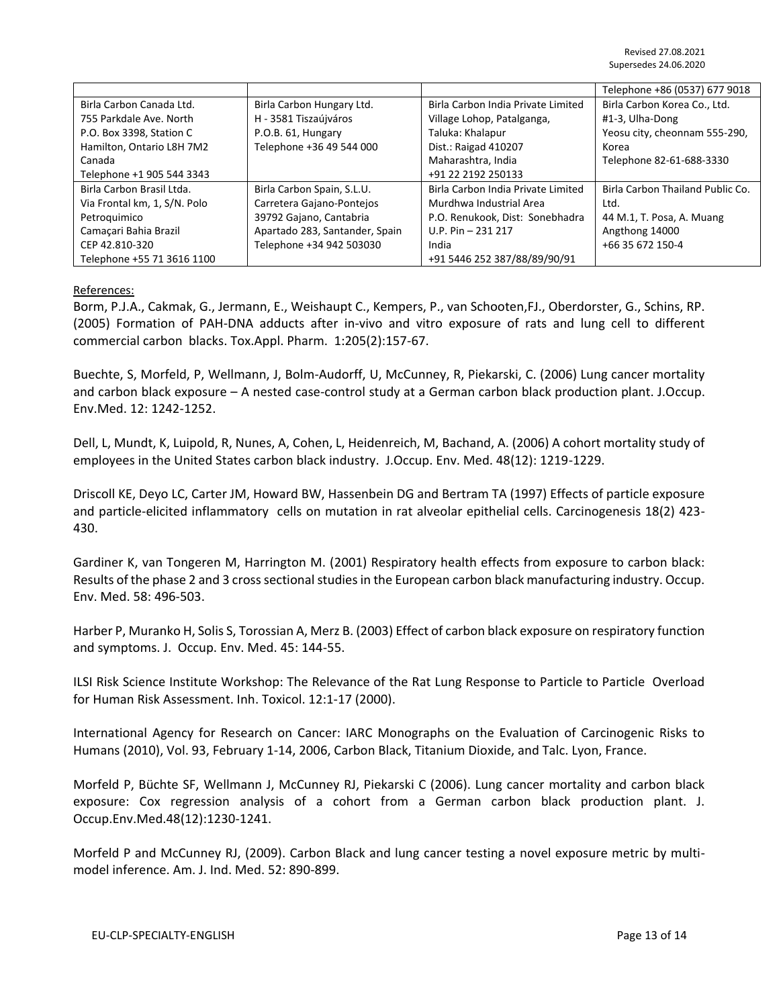|                              |                                |                                    | Telephone +86 (0537) 677 9018    |
|------------------------------|--------------------------------|------------------------------------|----------------------------------|
| Birla Carbon Canada Ltd.     | Birla Carbon Hungary Ltd.      | Birla Carbon India Private Limited | Birla Carbon Korea Co., Ltd.     |
| 755 Parkdale Ave, North      | H - 3581 Tiszaújváros          | Village Lohop, Patalganga,         | #1-3, Ulha-Dong                  |
| P.O. Box 3398, Station C     | P.O.B. 61, Hungary             | Taluka: Khalapur                   | Yeosu city, cheonnam 555-290,    |
| Hamilton, Ontario L8H 7M2    | Telephone +36 49 544 000       | Dist.: Raigad 410207               | Korea                            |
| Canada                       |                                | Maharashtra, India                 | Telephone 82-61-688-3330         |
| Telephone +1 905 544 3343    |                                | +91 22 2192 250133                 |                                  |
| Birla Carbon Brasil Ltda.    | Birla Carbon Spain, S.L.U.     | Birla Carbon India Private Limited | Birla Carbon Thailand Public Co. |
| Via Frontal km, 1, S/N. Polo | Carretera Gajano-Pontejos      | Murdhwa Industrial Area            | Ltd.                             |
| Petroquimico                 | 39792 Gajano, Cantabria        | P.O. Renukook, Dist: Sonebhadra    | 44 M.1, T. Posa, A. Muang        |
| Camaçari Bahia Brazil        | Apartado 283, Santander, Spain | U.P. Pin $-$ 231 217               | Angthong 14000                   |
| CEP 42.810-320               | Telephone +34 942 503030       | India                              | +66 35 672 150-4                 |
| Telephone +55 71 3616 1100   |                                | +91 5446 252 387/88/89/90/91       |                                  |

## References:

Borm, P.J.A., Cakmak, G., Jermann, E., Weishaupt C., Kempers, P., van Schooten,FJ., Oberdorster, G., Schins, RP. (2005) Formation of PAH-DNA adducts after in-vivo and vitro exposure of rats and lung cell to different commercial carbon blacks. Tox.Appl. Pharm. 1:205(2):157-67.

Buechte, S, Morfeld, P, Wellmann, J, Bolm-Audorff, U, McCunney, R, Piekarski, C. (2006) Lung cancer mortality and carbon black exposure – A nested case-control study at a German carbon black production plant. J.Occup. Env.Med. 12: 1242-1252.

Dell, L, Mundt, K, Luipold, R, Nunes, A, Cohen, L, Heidenreich, M, Bachand, A. (2006) A cohort mortality study of employees in the United States carbon black industry. J.Occup. Env. Med. 48(12): 1219-1229.

Driscoll KE, Deyo LC, Carter JM, Howard BW, Hassenbein DG and Bertram TA (1997) Effects of particle exposure and particle-elicited inflammatory cells on mutation in rat alveolar epithelial cells. Carcinogenesis 18(2) 423- 430.

Gardiner K, van Tongeren M, Harrington M. (2001) Respiratory health effects from exposure to carbon black: Results of the phase 2 and 3 cross sectional studies in the European carbon black manufacturing industry. Occup. Env. Med. 58: 496-503.

Harber P, Muranko H, Solis S, Torossian A, Merz B. (2003) Effect of carbon black exposure on respiratory function and symptoms. J. Occup. Env. Med. 45: 144-55.

ILSI Risk Science Institute Workshop: The Relevance of the Rat Lung Response to Particle to Particle Overload for Human Risk Assessment. Inh. Toxicol. 12:1-17 (2000).

International Agency for Research on Cancer: IARC Monographs on the Evaluation of Carcinogenic Risks to Humans (2010), Vol. 93, February 1-14, 2006, Carbon Black, Titanium Dioxide, and Talc. Lyon, France.

Morfeld P, Büchte SF, Wellmann J, McCunney RJ, Piekarski C (2006). Lung cancer mortality and carbon black exposure: Cox regression analysis of a cohort from a German carbon black production plant. J. Occup.Env.Med.48(12):1230-1241.

Morfeld P and McCunney RJ, (2009). Carbon Black and lung cancer testing a novel exposure metric by multimodel inference. Am. J. Ind. Med. 52: 890-899.